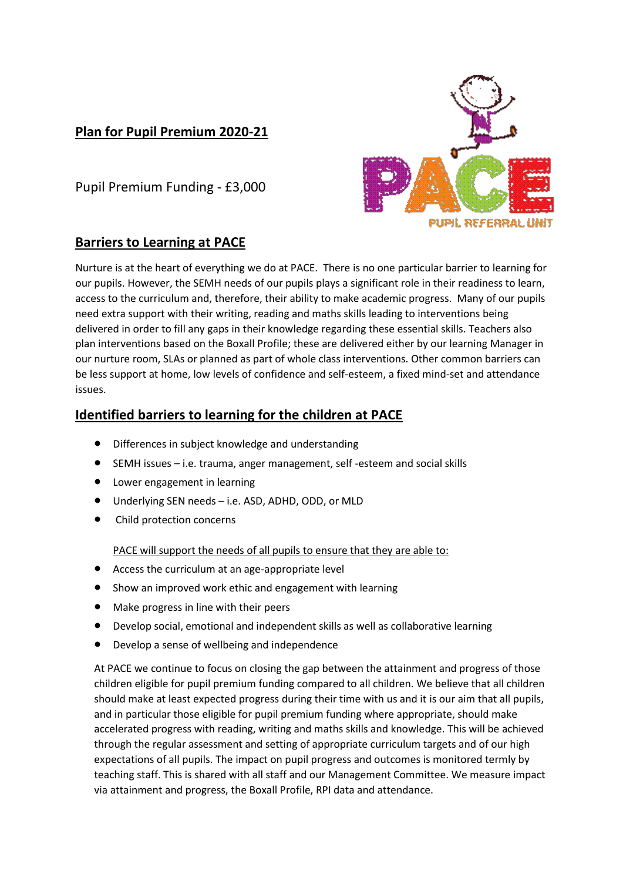## **Plan for Pupil Premium 2020-21**



Pupil Premium Funding - £3,000

## **Barriers to Learning at PACE**

Nurture is at the heart of everything we do at PACE. There is no one particular barrier to learning for our pupils. However, the SEMH needs of our pupils plays a significant role in their readiness to learn, access to the curriculum and, therefore, their ability to make academic progress. Many of our pupils need extra support with their writing, reading and maths skills leading to interventions being delivered in order to fill any gaps in their knowledge regarding these essential skills. Teachers also plan interventions based on the Boxall Profile; these are delivered either by our learning Manager in our nurture room, SLAs or planned as part of whole class interventions. Other common barriers can be less support at home, low levels of confidence and self-esteem, a fixed mind-set and attendance issues.

## **Identified barriers to learning for the children at PACE**

- Differences in subject knowledge and understanding
- SEMH issues i.e. trauma, anger management, self -esteem and social skills
- Lower engagement in learning
- Underlying SEN needs i.e. ASD, ADHD, ODD, or MLD
- Child protection concerns

PACE will support the needs of all pupils to ensure that they are able to:

- Access the curriculum at an age-appropriate level
- Show an improved work ethic and engagement with learning
- Make progress in line with their peers
- Develop social, emotional and independent skills as well as collaborative learning
- Develop a sense of wellbeing and independence

At PACE we continue to focus on closing the gap between the attainment and progress of those children eligible for pupil premium funding compared to all children. We believe that all children should make at least expected progress during their time with us and it is our aim that all pupils, and in particular those eligible for pupil premium funding where appropriate, should make accelerated progress with reading, writing and maths skills and knowledge. This will be achieved through the regular assessment and setting of appropriate curriculum targets and of our high expectations of all pupils. The impact on pupil progress and outcomes is monitored termly by teaching staff. This is shared with all staff and our Management Committee. We measure impact via attainment and progress, the Boxall Profile, RPI data and attendance.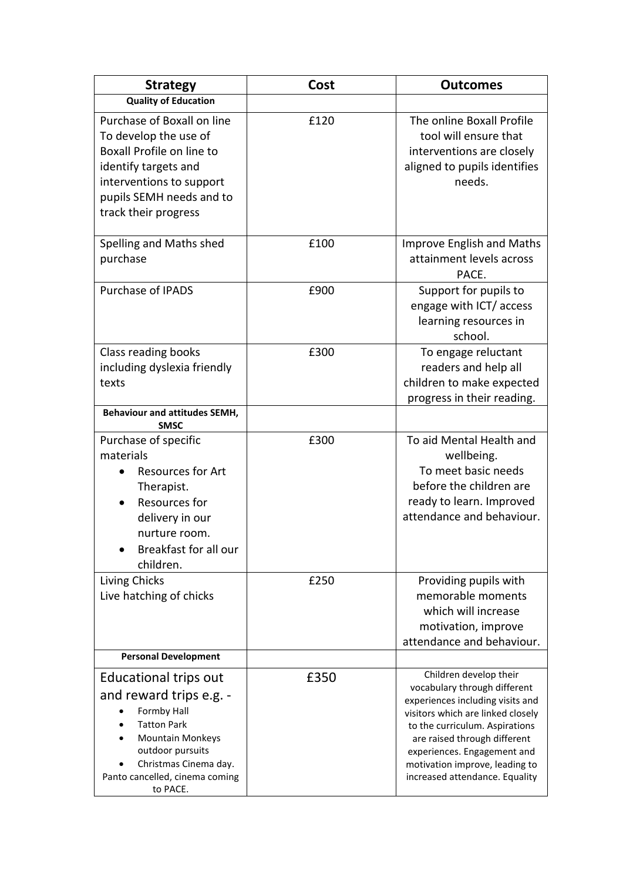| <b>Strategy</b>                                                                                                                                                                                                    | Cost | <b>Outcomes</b>                                                                                                                                                                                                                                                                                      |
|--------------------------------------------------------------------------------------------------------------------------------------------------------------------------------------------------------------------|------|------------------------------------------------------------------------------------------------------------------------------------------------------------------------------------------------------------------------------------------------------------------------------------------------------|
| <b>Quality of Education</b>                                                                                                                                                                                        |      |                                                                                                                                                                                                                                                                                                      |
| Purchase of Boxall on line<br>To develop the use of<br>Boxall Profile on line to<br>identify targets and<br>interventions to support<br>pupils SEMH needs and to<br>track their progress                           | £120 | The online Boxall Profile<br>tool will ensure that<br>interventions are closely<br>aligned to pupils identifies<br>needs.                                                                                                                                                                            |
| Spelling and Maths shed<br>purchase                                                                                                                                                                                | £100 | <b>Improve English and Maths</b><br>attainment levels across<br>PACE.                                                                                                                                                                                                                                |
| Purchase of IPADS                                                                                                                                                                                                  | £900 | Support for pupils to<br>engage with ICT/ access<br>learning resources in<br>school.                                                                                                                                                                                                                 |
| Class reading books<br>including dyslexia friendly<br>texts                                                                                                                                                        | £300 | To engage reluctant<br>readers and help all<br>children to make expected<br>progress in their reading.                                                                                                                                                                                               |
| <b>Behaviour and attitudes SEMH,</b><br><b>SMSC</b>                                                                                                                                                                |      |                                                                                                                                                                                                                                                                                                      |
| Purchase of specific<br>materials<br>Resources for Art<br>Therapist.<br>Resources for<br>delivery in our<br>nurture room.<br>Breakfast for all our<br>children.                                                    | £300 | To aid Mental Health and<br>wellbeing.<br>To meet basic needs<br>before the children are<br>ready to learn. Improved<br>attendance and behaviour.                                                                                                                                                    |
| Living Chicks<br>Live hatching of chicks                                                                                                                                                                           | £250 | Providing pupils with<br>memorable moments<br>which will increase<br>motivation, improve<br>attendance and behaviour.                                                                                                                                                                                |
| <b>Personal Development</b>                                                                                                                                                                                        |      |                                                                                                                                                                                                                                                                                                      |
| <b>Educational trips out</b><br>and reward trips e.g. -<br>Formby Hall<br><b>Tatton Park</b><br><b>Mountain Monkeys</b><br>outdoor pursuits<br>Christmas Cinema day.<br>Panto cancelled, cinema coming<br>to PACE. | £350 | Children develop their<br>vocabulary through different<br>experiences including visits and<br>visitors which are linked closely<br>to the curriculum. Aspirations<br>are raised through different<br>experiences. Engagement and<br>motivation improve, leading to<br>increased attendance. Equality |